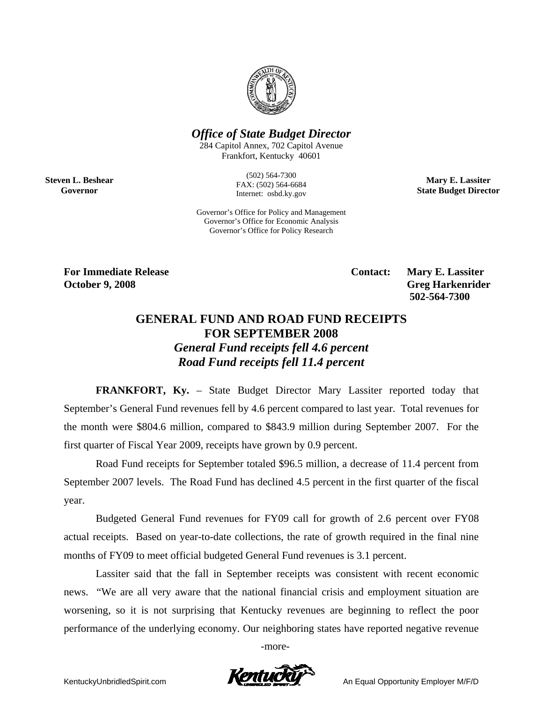

## *Office of State Budget Director*

284 Capitol Annex, 702 Capitol Avenue Frankfort, Kentucky 40601

> (502) 564-7300 FAX: (502) 564-6684 Internet: osbd.ky.gov

**Mary E. Lassiter State Budget Director** 

Governor's Office for Policy and Management Governor's Office for Economic Analysis Governor's Office for Policy Research

**Steven L. Beshear Governor** 

> For Immediate Release **Contact: Mary E. Lassiter October 9, 2008** Greg Harkenrider  **502-564-7300**

## **GENERAL FUND AND ROAD FUND RECEIPTS FOR SEPTEMBER 2008**  *General Fund receipts fell 4.6 percent Road Fund receipts fell 11.4 percent*

**FRANKFORT, Ky.** – State Budget Director Mary Lassiter reported today that September's General Fund revenues fell by 4.6 percent compared to last year. Total revenues for the month were \$804.6 million, compared to \$843.9 million during September 2007. For the first quarter of Fiscal Year 2009, receipts have grown by 0.9 percent.

 Road Fund receipts for September totaled \$96.5 million, a decrease of 11.4 percent from September 2007 levels. The Road Fund has declined 4.5 percent in the first quarter of the fiscal year.

Budgeted General Fund revenues for FY09 call for growth of 2.6 percent over FY08 actual receipts. Based on year-to-date collections, the rate of growth required in the final nine months of FY09 to meet official budgeted General Fund revenues is 3.1 percent.

Lassiter said that the fall in September receipts was consistent with recent economic news. "We are all very aware that the national financial crisis and employment situation are worsening, so it is not surprising that Kentucky revenues are beginning to reflect the poor performance of the underlying economy. Our neighboring states have reported negative revenue

-more-

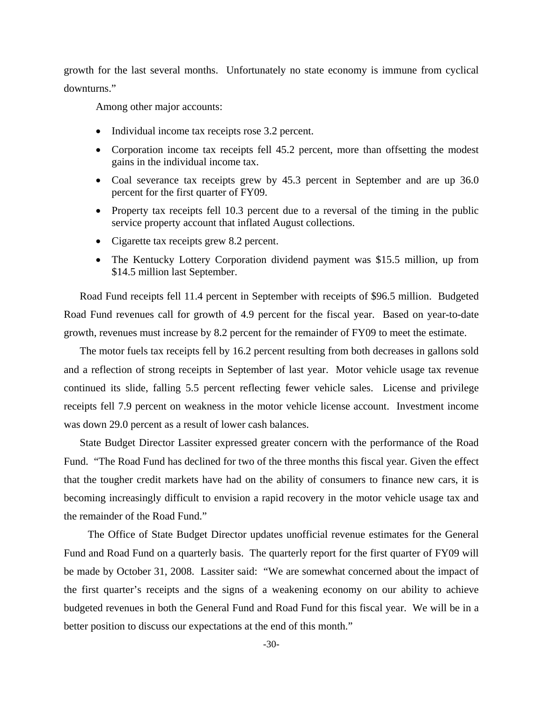growth for the last several months. Unfortunately no state economy is immune from cyclical downturns."

Among other major accounts:

- Individual income tax receipts rose 3.2 percent.
- Corporation income tax receipts fell 45.2 percent, more than offsetting the modest gains in the individual income tax.
- Coal severance tax receipts grew by 45.3 percent in September and are up 36.0 percent for the first quarter of FY09.
- Property tax receipts fell 10.3 percent due to a reversal of the timing in the public service property account that inflated August collections.
- Cigarette tax receipts grew 8.2 percent.
- The Kentucky Lottery Corporation dividend payment was \$15.5 million, up from \$14.5 million last September.

Road Fund receipts fell 11.4 percent in September with receipts of \$96.5 million. Budgeted Road Fund revenues call for growth of 4.9 percent for the fiscal year. Based on year-to-date growth, revenues must increase by 8.2 percent for the remainder of FY09 to meet the estimate.

The motor fuels tax receipts fell by 16.2 percent resulting from both decreases in gallons sold and a reflection of strong receipts in September of last year. Motor vehicle usage tax revenue continued its slide, falling 5.5 percent reflecting fewer vehicle sales. License and privilege receipts fell 7.9 percent on weakness in the motor vehicle license account. Investment income was down 29.0 percent as a result of lower cash balances.

State Budget Director Lassiter expressed greater concern with the performance of the Road Fund. "The Road Fund has declined for two of the three months this fiscal year. Given the effect that the tougher credit markets have had on the ability of consumers to finance new cars, it is becoming increasingly difficult to envision a rapid recovery in the motor vehicle usage tax and the remainder of the Road Fund."

 The Office of State Budget Director updates unofficial revenue estimates for the General Fund and Road Fund on a quarterly basis. The quarterly report for the first quarter of FY09 will be made by October 31, 2008. Lassiter said: "We are somewhat concerned about the impact of the first quarter's receipts and the signs of a weakening economy on our ability to achieve budgeted revenues in both the General Fund and Road Fund for this fiscal year. We will be in a better position to discuss our expectations at the end of this month."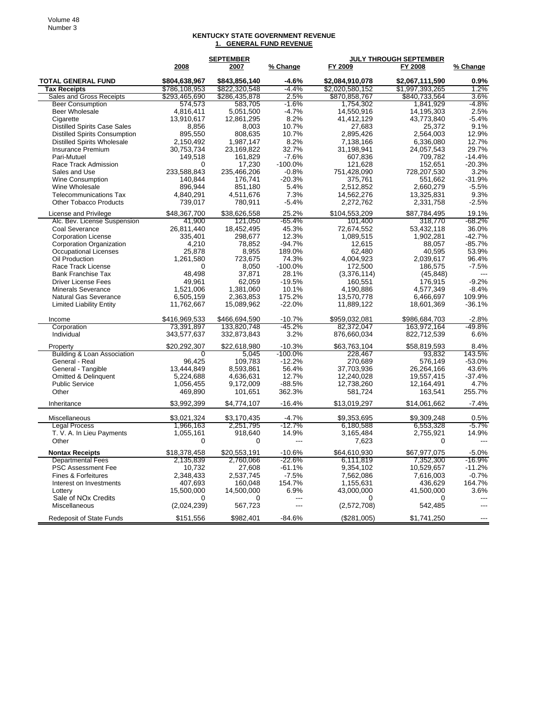## **KENTUCKY STATE GOVERNMENT REVENUE 1. GENERAL FUND REVENUE**

|                                                  | <b>SEPTEMBER</b> |                   |                    | <b>JULY THROUGH SEPTEMBER</b> |                       |                   |
|--------------------------------------------------|------------------|-------------------|--------------------|-------------------------------|-----------------------|-------------------|
|                                                  | 2008             | 2007              | % Change           | FY 2009                       | FY 2008               | % Change          |
| <b>TOTAL GENERAL FUND</b>                        | \$804,638,967    | \$843,856,140     | $-4.6%$            | \$2,084,910,078               | \$2,067,111,590       | 0.9%              |
| <b>Tax Receipts</b>                              | \$786,108,953    | \$822,320,548     | $-4.4%$            | \$2,020,580,152               | \$1,997,393,265       | 1.2%              |
| Sales and Gross Receipts                         | \$293,465,690    | \$286,435,878     | 2.5%               | \$870,858,767                 | \$840,733,564         | 3.6%              |
| <b>Beer Consumption</b>                          | 574,573          | 583,705           | $-1.6\%$           | 1,754,302                     | 1,841,929             | -4.8%             |
| <b>Beer Wholesale</b>                            | 4.816.411        | 5,051,500         | $-4.7%$            | 14,550,916                    | 14,195,303            | 2.5%              |
| Cigarette                                        | 13,910,617       | 12,861,295        | 8.2%               | 41,412,129                    | 43,773,840            | $-5.4%$           |
| <b>Distilled Spirits Case Sales</b>              | 8,856            | 8,003             | 10.7%              | 27,683                        | 25,372                | 9.1%              |
| <b>Distilled Spirits Consumption</b>             | 895,550          | 808,635           | 10.7%              | 2,895,426                     | 2,564,003             | 12.9%             |
| <b>Distilled Spirits Wholesale</b>               | 2,150,492        | 1,987,147         | 8.2%               | 7,138,166                     | 6,336,080             | 12.7%             |
| <b>Insurance Premium</b>                         | 30,753,734       | 23,169,822        | 32.7%<br>$-7.6%$   | 31,198,941<br>607.836         | 24,057,543<br>709.782 | 29.7%<br>$-14.4%$ |
| Pari-Mutuel<br>Race Track Admission              | 149,518<br>0     | 161,829<br>17,230 | $-100.0%$          |                               | 152,651               | $-20.3%$          |
| Sales and Use                                    | 233,588,843      | 235,466,206       | $-0.8%$            | 121,628<br>751,428,090        | 728,207,530           | 3.2%              |
| Wine Consumption                                 | 140,844          | 176,741           | $-20.3%$           | 375,761                       | 551,662               | $-31.9%$          |
| Wine Wholesale                                   | 896,944          | 851,180           | 5.4%               | 2,512,852                     | 2,660,279             | $-5.5%$           |
| <b>Telecommunications Tax</b>                    | 4,840,291        | 4,511,676         | 7.3%               | 14,562,276                    | 13,325,831            | 9.3%              |
| <b>Other Tobacco Products</b>                    | 739,017          | 780,911           | $-5.4%$            | 2,272,762                     | 2,331,758             | $-2.5%$           |
|                                                  |                  |                   |                    |                               |                       |                   |
| License and Privilege                            | \$48,367,700     | \$38,626,558      | 25.2%              | \$104,553,209                 | \$87,784,495          | 19.1%             |
| Alc. Bev. License Suspension                     | 41,900           | 121,050           | -65.4%             | 101,400                       | 318,770               | $-68.2%$          |
| Coal Severance                                   | 26,811,440       | 18,452,495        | 45.3%              | 72.674.552                    | 53,432,118            | 36.0%             |
| <b>Corporation License</b>                       | 335,401          | 298,677           | 12.3%              | 1,089,515                     | 1,902,281             | $-42.7%$          |
| <b>Corporation Organization</b>                  | 4,210<br>25,878  | 78,852<br>8,955   | $-94.7%$<br>189.0% | 12,615<br>62,480              | 88,057<br>40,595      | $-85.7%$<br>53.9% |
| Occupational Licenses<br>Oil Production          | 1,261,580        | 723.675           | 74.3%              | 4,004,923                     | 2,039,617             | 96.4%             |
| Race Track License                               | 0                | 8,050             | $-100.0%$          | 172,500                       | 186,575               | $-7.5%$           |
| <b>Bank Franchise Tax</b>                        | 48,498           | 37,871            | 28.1%              | (3,376,114)                   | (45, 848)             |                   |
| <b>Driver License Fees</b>                       | 49,961           | 62,059            | $-19.5%$           | 160,551                       | 176.915               | $-9.2%$           |
| <b>Minerals Severance</b>                        | 1,521,006        | 1,381,060         | 10.1%              | 4,190,886                     | 4,577,349             | $-8.4%$           |
| <b>Natural Gas Severance</b>                     | 6,505,159        | 2,363,853         | 175.2%             | 13,570,778                    | 6,466,697             | 109.9%            |
| <b>Limited Liability Entity</b>                  | 11,762,667       | 15,089,962        | $-22.0%$           | 11,889,122                    | 18,601,369            | $-36.1%$          |
| Income                                           | \$416,969,533    | \$466,694,590     | $-10.7%$           | \$959,032,081                 | \$986,684,703         | $-2.8%$           |
| Corporation                                      | 73,391,897       | 133,820,748       | $-45.2%$           | 82,372,047                    | 163,972,164           | $-49.8%$          |
| Individual                                       | 343,577,637      | 332,873,843       | 3.2%               | 876,660,034                   | 822,712,539           | 6.6%              |
| Property                                         | \$20,292,307     | \$22,618,980      | $-10.3%$           | \$63,763,104                  | \$58,819,593          | 8.4%              |
| Building & Loan Association                      | 0                | 5,045             | $-100.0\%$         | 228,467                       | 93,832                | 143.5%            |
| General - Real                                   | 96,425           | 109,783           | $-12.2%$           | 270,689                       | 576,149               | $-53.0%$          |
| General - Tangible                               | 13,444,849       | 8,593,861         | 56.4%              | 37,703,936                    | 26,264,166            | 43.6%             |
| Omitted & Delinquent                             | 5,224,688        | 4,636,631         | 12.7%              | 12,240,028                    | 19,557,415            | $-37.4%$          |
| <b>Public Service</b>                            | 1,056,455        | 9,172,009         | $-88.5%$           | 12,738,260                    | 12,164,491            | 4.7%              |
| Other                                            | 469,890          | 101,651           | 362.3%             | 581,724                       | 163,541               | 255.7%            |
| Inheritance                                      | \$3,992,399      | \$4,774,107       | $-16.4%$           | \$13,019,297                  | \$14,061,662          | $-7.4%$           |
| Miscellaneous                                    | \$3,021,324      | \$3,170,435       | $-4.7%$            | \$9,353,695                   | \$9,309,248           | 0.5%              |
| <b>Legal Process</b>                             | 1,966,163        | 2,251,795         | $-12.7%$           | 6,180,588                     | 6,553,328             | -5.7%             |
| T. V. A. In Lieu Payments<br>Other               | 1,055,161<br>0   | 918,640<br>0      | 14.9%<br>$---$     | 3,165,484<br>7,623            | 2,755,921<br>0        | 14.9%<br>---      |
| <b>Nontax Receipts</b>                           | \$18,378,458     | \$20,553,191      | $-10.6%$           | \$64,610,930                  | \$67,977,075          | $-5.0%$           |
| <b>Departmental Fees</b>                         | 2,135,839        | 2,760,066         | -22.6%             | 6,111,819                     | 7,352,300             | $-16.9%$          |
| <b>PSC Assessment Fee</b>                        | 10,732           | 27,608            | -61.1%             | 9,354,102                     | 10,529,657            | $-11.2%$          |
| Fines & Forfeitures                              | 2,348,433        | 2,537,745         | $-7.5%$            | 7,562,086                     | 7,616,003             | -0.7%             |
| Interest on Investments                          | 407,693          | 160,048           | 154.7%             | 1,155,631                     | 436,629               | 164.7%            |
| Lottery                                          | 15,500,000       | 14,500,000        | 6.9%               | 43,000,000                    | 41,500,000            | 3.6%              |
| Sale of NO <sub>x</sub> Credits<br>Miscellaneous | 0<br>(2,024,239) | 0<br>567,723      | ---<br>---         | 0<br>(2,572,708)              | 0<br>542,485          |                   |
| <b>Redeposit of State Funds</b>                  | \$151,556        | \$982,401         | $-84.6%$           | (\$281,005)                   | \$1,741,250           |                   |